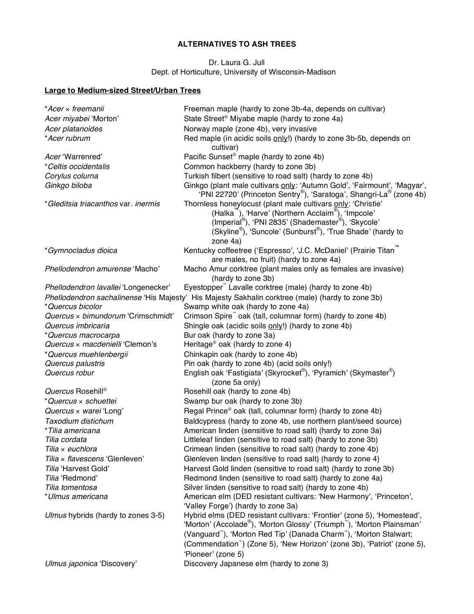## **ALTERNATIVES TO ASH TREES**

Dr. Laura G. Jull Dept. of Horticulture, University of Wisconsin-Madison

## **Large to Medium-sized Street/Urban Trees**

| *Acer × freemanii                    | Freeman maple (hardy to zone 3b-4a, depends on cultivar)                                                                                                    |  |
|--------------------------------------|-------------------------------------------------------------------------------------------------------------------------------------------------------------|--|
| Acer miyabei 'Morton'                | State Street <sup>®</sup> Miyabe maple (hardy to zone 4a)                                                                                                   |  |
| Acer platanoides                     | Norway maple (zone 4b), very invasive                                                                                                                       |  |
| *Acer rubrum                         | Red maple (in acidic soils only!) (hardy to zone 3b-5b, depends on                                                                                          |  |
|                                      | cultivar)                                                                                                                                                   |  |
| Acer 'Warrenred'                     | Pacific Sunset <sup>®</sup> maple (hardy to zone 4b)                                                                                                        |  |
| *Celtis occidentalis                 | Common hackberry (hardy to zone 3b)                                                                                                                         |  |
| Corylus colurna                      | Turkish filbert (sensitive to road salt) (hardy to zone 4b)                                                                                                 |  |
| Ginkgo biloba                        | Ginkgo (plant male cultivars only: 'Autumn Gold', 'Fairmount', 'Magyar',<br>'PNI 22720' (Princeton Sentry <sup>®</sup> ), 'Saratoga', Shangri-La® (zone 4b) |  |
| *Gleditsia triacanthos var. inermis  | Thornless honeylocust (plant male cultivars only: 'Christie'<br>(Halka <sup>""</sup> ), 'Harve' (Northern Acclaim®), 'Impcole'                              |  |
|                                      | (Imperial®), 'PNI 2835' (Shademaster®), 'Skycole'                                                                                                           |  |
|                                      | (Skyline <sup>®</sup> ), 'Suncole' (Sunburst <sup>®</sup> ), 'True Shade' (hardy to                                                                         |  |
|                                      | zone 4a)                                                                                                                                                    |  |
| *Gymnocladus dioica                  | Kentucky coffeetree ('Espresso', 'J.C. McDaniel' (Prairie Titan <sup>"</sup>                                                                                |  |
|                                      | are males, no fruit) (hardy to zone 4a)                                                                                                                     |  |
| Phellodendron amurense 'Macho'       | Macho Amur corktree (plant males only as females are invasive)                                                                                              |  |
|                                      | (hardy to zone 3b)                                                                                                                                          |  |
| Phellodendron lavallei 'Longenecker' | Eyestopper" Lavalle corktree (male) (hardy to zone 4b)                                                                                                      |  |
|                                      | Phellodendron sachalinense 'His Majesty' His Majesty Sakhalin corktree (male) (hardy to zone 3b)                                                            |  |
| *Quercus bicolor                     | Swamp white oak (hardy to zone 4a)                                                                                                                          |  |
| Quercus x bimundorum 'Crimschmidt'   | Crimson Spire" oak (tall, columnar form) (hardy to zone 4b)                                                                                                 |  |
| Quercus imbricaria                   | Shingle oak (acidic soils only!) (hardy to zone 4b)                                                                                                         |  |
| *Quercus macrocarpa                  | Bur oak (hardy to zone 3a)                                                                                                                                  |  |
| Quercus x macdenielli 'Clemon's      | Heritage <sup>®</sup> oak (hardy to zone 4)                                                                                                                 |  |
| *Quercus muehlenbergii               | Chinkapin oak (hardy to zone 4b)                                                                                                                            |  |
| Quercus palustris                    | Pin oak (hardy to zone 4b) (acid soils only!)                                                                                                               |  |
| Quercus robur                        | English oak 'Fastigiata' (Skyrocket®), 'Pyramich' (Skymaster®)                                                                                              |  |
|                                      | (zone 5a only)                                                                                                                                              |  |
| Quercus Rosehill®                    | Rosehill oak (hardy to zone 4b)                                                                                                                             |  |
| *Quercus × schuettei                 | Swamp bur oak (hardy to zone 3b)                                                                                                                            |  |
| Quercus x warei 'Long'               | Regal Prince® oak (tall, columnar form) (hardy to zone 4b)                                                                                                  |  |
| Taxodium distichum                   | Baldcypress (hardy to zone 4b, use northern plant/seed source)                                                                                              |  |
| *Tilia americana                     | American linden (sensitive to road salt) (hardy to zone 3a)                                                                                                 |  |
| Tilia cordata                        | Littleleaf linden (sensitive to road salt) (hardy to zone 3b)                                                                                               |  |
| Tilia x euchlora                     | Crimean linden (sensitive to road salt) (hardy to zone 4b)                                                                                                  |  |
| Tilia x flavescens 'Glenleven'       | Glenleven linden (sensitive to road salt) (hardy to zone 4)                                                                                                 |  |
| Tilia 'Harvest Gold'                 | Harvest Gold linden (sensitive to road salt) (hardy to zone 3b)                                                                                             |  |
| Tilia 'Redmond'                      | Redmond linden (sensitive to road salt) (hardy to zone 4a)<br>Silver linden (sensitive to road salt) (hardy to zone 4b)                                     |  |
| Tilia tomentosa<br>*Ulmus americana  | American elm (DED resistant cultivars: 'New Harmony', 'Princeton',                                                                                          |  |
|                                      | 'Valley Forge') (hardy to zone 3a)                                                                                                                          |  |
| Ulmus hybrids (hardy to zones 3-5)   | Hybrid elms (DED resistant cultivars: 'Frontier' (zone 5), 'Homestead',<br>'Morton' (Accolade®), 'Morton Glossy' (Triumph™), 'Morton Plainsman'             |  |
|                                      | (Vanguard <sup>"</sup> ), 'Morton Red Tip' (Danada Charm <sup>"</sup> ), 'Morton Stalwart;                                                                  |  |
|                                      | (Commendation <sup>"</sup> ) (Zone 5), 'New Horizon' (zone 3b), 'Patriot' (zone 5),                                                                         |  |
|                                      | 'Pioneer' (zone 5)                                                                                                                                          |  |
| Ulmus japonica 'Discovery'           | Discovery Japanese elm (hardy to zone 3)                                                                                                                    |  |